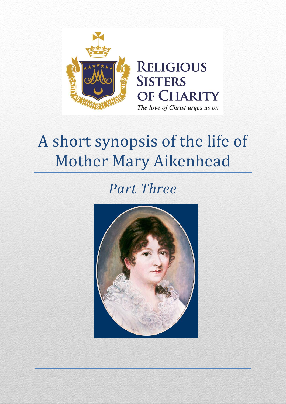

# A short synopsis of the life of Mother Mary Aikenhead

# *Part Three*

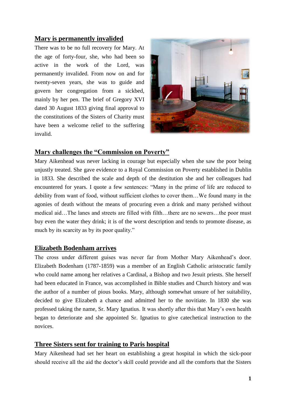# **Mary is permanently invalided**

There was to be no full recovery for Mary. At the age of forty-four, she, who had been so active in the work of the Lord, was permanently invalided. From now on and for twenty-seven years, she was to guide and govern her congregation from a sickbed, mainly by her pen. The brief of Gregory XVI dated 30 August 1833 giving final approval to the constitutions of the Sisters of Charity must have been a welcome relief to the suffering invalid.



# **Mary challenges the "Commission on Poverty"**

Mary Aikenhead was never lacking in courage but especially when she saw the poor being unjustly treated. She gave evidence to a Royal Commission on Poverty established in Dublin in 1833. She described the scale and depth of the destitution she and her colleagues had encountered for years. I quote a few sentences: "Many in the prime of life are reduced to debility from want of food, without sufficient clothes to cover them…We found many in the agonies of death without the means of procuring even a drink and many perished without medical aid…The lanes and streets are filled with filth…there are no sewers…the poor must buy even the water they drink; it is of the worst description and tends to promote disease, as much by its scarcity as by its poor quality."

# **Elizabeth Bodenham arrives**

The cross under different guises was never far from Mother Mary Aikenhead's door. Elizabeth Bodenham (1787-1859) was a member of an English Catholic aristocratic family who could name among her relatives a Cardinal, a Bishop and two Jesuit priests. She herself had been educated in France, was accomplished in Bible studies and Church history and was the author of a number of pious books. Mary, although somewhat unsure of her suitability, decided to give Elizabeth a chance and admitted her to the novitiate. In 1830 she was professed taking the name, Sr. Mary Ignatius. It was shortly after this that Mary's own health began to deteriorate and she appointed Sr. Ignatius to give catechetical instruction to the novices.

# **Three Sisters sent for training to Paris hospital**

Mary Aikenhead had set her heart on establishing a great hospital in which the sick-poor should receive all the aid the doctor's skill could provide and all the comforts that the Sisters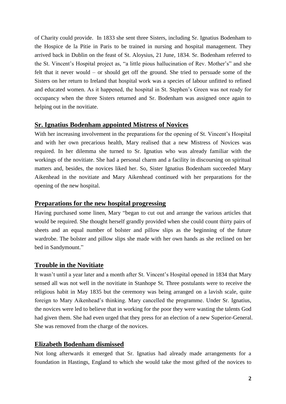of Charity could provide. In 1833 she sent three Sisters, including Sr. Ignatius Bodenham to the Hospice de la Pitie in Paris to be trained in nursing and hospital management. They arrived back in Dublin on the feast of St. Aloysius, 21 June, 1834. Sr. Bodenham referred to the St. Vincent's Hospital project as, "a little pious hallucination of Rev. Mother's" and she felt that it never would – or should get off the ground. She tried to persuade some of the Sisters on her return to Ireland that hospital work was a species of labour unfitted to refined and educated women. As it happened, the hospital in St. Stephen's Green was not ready for occupancy when the three Sisters returned and Sr. Bodenham was assigned once again to helping out in the novitiate.

#### **Sr. Ignatius Bodenham appointed Mistress of Novices**

With her increasing involvement in the preparations for the opening of St. Vincent's Hospital and with her own precarious health, Mary realised that a new Mistress of Novices was required. In her dilemma she turned to Sr. Ignatius who was already familiar with the workings of the novitiate. She had a personal charm and a facility in discoursing on spiritual matters and, besides, the novices liked her. So, Sister Ignatius Bodenham succeeded Mary Aikenhead in the novitiate and Mary Aikenhead continued with her preparations for the opening of the new hospital.

#### **Preparations for the new hospital progressing**

Having purchased some linen, Mary "began to cut out and arrange the various articles that would be required. She thought herself grandly provided when she could count thirty pairs of sheets and an equal number of bolster and pillow slips as the beginning of the future wardrobe. The bolster and pillow slips she made with her own hands as she reclined on her bed in Sandymount."

#### **Trouble in the Novitiate**

It wasn't until a year later and a month after St. Vincent's Hospital opened in 1834 that Mary sensed all was not well in the novitiate in Stanhope St. Three postulants were to receive the religious habit in May 1835 but the ceremony was being arranged on a lavish scale, quite foreign to Mary Aikenhead's thinking. Mary cancelled the programme. Under Sr. Ignatius, the novices were led to believe that in working for the poor they were wasting the talents God had given them. She had even urged that they press for an election of a new Superior-General. She was removed from the charge of the novices.

#### **Elizabeth Bodenham dismissed**

Not long afterwards it emerged that Sr. Ignatius had already made arrangements for a foundation in Hastings, England to which she would take the most gifted of the novices to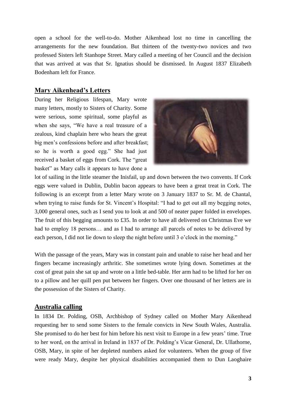open a school for the well-to-do. Mother Aikenhead lost no time in cancelling the arrangements for the new foundation. But thirteen of the twenty-two novices and two professed Sisters left Stanhope Street. Mary called a meeting of her Council and the decision that was arrived at was that Sr. Ignatius should be dismissed. In August 1837 Elizabeth Bodenham left for France.

#### **Mary Aikenhead's Letters**

During her Religious lifespan, Mary wrote many letters, mostly to Sisters of Charity. Some were serious, some spiritual, some playful as when she says, "We have a real treasure of a zealous, kind chaplain here who hears the great big men's confessions before and after breakfast; so he is worth a good egg." She had just received a basket of eggs from Cork. The "great basket" as Mary calls it appears to have done a



lot of sailing in the little steamer the Inisfail, up and down between the two convents. If Cork eggs were valued in Dublin, Dublin bacon appears to have been a great treat in Cork. The following is an excerpt from a letter Mary wrote on 3 January 1837 to Sr. M. de Chantal, when trying to raise funds for St. Vincent's Hospital: "I had to get out all my begging notes, 3,000 general ones, such as I send you to look at and 500 of neater paper folded in envelopes. The fruit of this begging amounts to £35. In order to have all delivered on Christmas Eve we had to employ 18 persons... and as I had to arrange all parcels of notes to be delivered by each person, I did not lie down to sleep the night before until 3 o'clock in the morning."

With the passage of the years, Mary was in constant pain and unable to raise her head and her fingers became increasingly arthritic. She sometimes wrote lying down. Sometimes at the cost of great pain she sat up and wrote on a little bed-table. Her arm had to be lifted for her on to a pillow and her quill pen put between her fingers. Over one thousand of her letters are in the possession of the Sisters of Charity.

#### **Australia calling**

In 1834 Dr. Polding, OSB, Archbishop of Sydney called on Mother Mary Aikenhead requesting her to send some Sisters to the female convicts in New South Wales, Australia. She promised to do her best for him before his next visit to Europe in a few years' time. True to her word, on the arrival in Ireland in 1837 of Dr. Polding's Vicar General, Dr. Ullathorne, OSB, Mary, in spite of her depleted numbers asked for volunteers. When the group of five were ready Mary, despite her physical disabilities accompanied them to Dun Laoghaire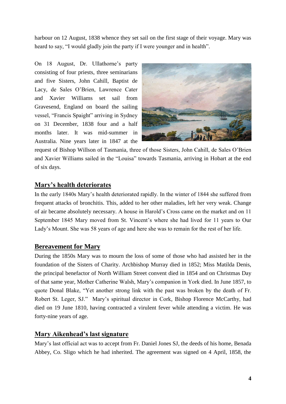harbour on 12 August, 1838 whence they set sail on the first stage of their voyage. Mary was heard to say, "I would gladly join the party if I were younger and in health".

On 18 August, Dr. Ullathorne's party consisting of four priests, three seminarians and five Sisters, John Cahill, Baptist de Lacy, de Sales O'Brien, Lawrence Cater and Xavier Williams set sail from Gravesend, England on board the sailing vessel, "Francis Spaight" arriving in Sydney on 31 December, 1838 four and a half months later. It was mid-summer in Australia. Nine years later in 1847 at the



request of Bishop Willson of Tasmania, three of those Sisters, John Cahill, de Sales O'Brien and Xavier Williams sailed in the "Louisa" towards Tasmania, arriving in Hobart at the end of six days.

# **Mary's health deteriorates**

In the early 1840s Mary's health deteriorated rapidly. In the winter of 1844 she suffered from frequent attacks of bronchitis. This, added to her other maladies, left her very weak. Change of air became absolutely necessary. A house in Harold's Cross came on the market and on 11 September 1845 Mary moved from St. Vincent's where she had lived for 11 years to Our Lady's Mount. She was 58 years of age and here she was to remain for the rest of her life.

#### **Bereavement for Mary**

During the 1850s Mary was to mourn the loss of some of those who had assisted her in the foundation of the Sisters of Charity. Archbishop Murray died in 1852; Miss Matilda Denis, the principal benefactor of North William Street convent died in 1854 and on Christmas Day of that same year, Mother Catherine Walsh, Mary's companion in York died. In June 1857, to quote Donal Blake, "Yet another strong link with the past was broken by the death of Fr. Robert St. Leger, SJ." Mary's spiritual director in Cork, Bishop Florence McCarthy, had died on 19 June 1810, having contracted a virulent fever while attending a victim. He was forty-nine years of age.

#### **Mary Aikenhead's last signature**

Mary's last official act was to accept from Fr. Daniel Jones SJ, the deeds of his home, Benada Abbey, Co. Sligo which he had inherited. The agreement was signed on 4 April, 1858, the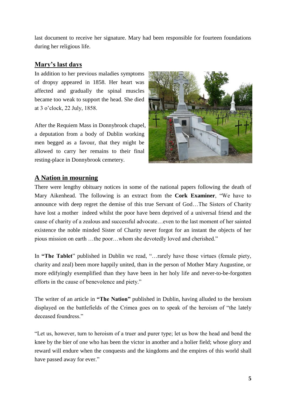last document to receive her signature. Mary had been responsible for fourteen foundations during her religious life.

# **Mary's last days**

In addition to her previous maladies symptoms of dropsy appeared in 1858. Her heart was affected and gradually the spinal muscles became too weak to support the head. She died at 3 o'clock, 22 July, 1858.

After the Requiem Mass in Donnybrook chapel, a deputation from a body of Dublin working men begged as a favour, that they might be allowed to carry her remains to their final resting-place in Donnybrook cemetery.



# **A Nation in mourning**

There were lengthy obituary notices in some of the national papers following the death of Mary Aikenhead. The following is an extract from the **Cork Examiner**, "We have to announce with deep regret the demise of this true Servant of God…The Sisters of Charity have lost a mother indeed whilst the poor have been deprived of a universal friend and the cause of charity of a zealous and successful advocate…even to the last moment of her sainted existence the noble minded Sister of Charity never forgot for an instant the objects of her pious mission on earth …the poor…whom she devotedly loved and cherished."

In **"The Tablet**" published in Dublin we read, "…rarely have those virtues (female piety, charity and zeal) been more happily united, than in the person of Mother Mary Augustine, or more edifyingly exemplified than they have been in her holy life and never-to-be-forgotten efforts in the cause of benevolence and piety."

The writer of an article in **"The Nation"** published in Dublin, having alluded to the heroism displayed on the battlefields of the Crimea goes on to speak of the heroism of "the lately deceased foundress."

"Let us, however, turn to heroism of a truer and purer type; let us bow the head and bend the knee by the bier of one who has been the victor in another and a holier field; whose glory and reward will endure when the conquests and the kingdoms and the empires of this world shall have passed away for ever."